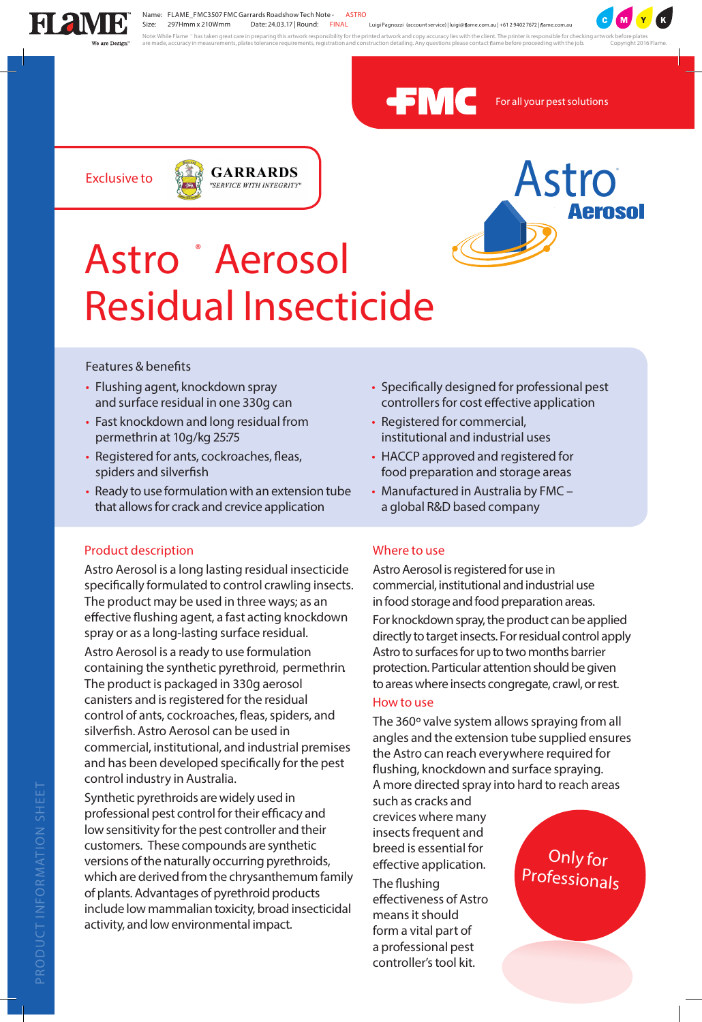

Name: FLAME\_FMC3507 FMC Garrards Roadshow Tech Note - **ASTRO** Size: 297Hmm x 210Wmm Date: 24.03.17 | Round: **FINAL**

Luigi Pagnozzi (account service) | luigi@ flame.com.au | +61 2 9402 7672 | flame.com.au

Note: While Flame " has taken great care in preparing this artwork responsibility for the printed artwork and copy accuracy lies with the client. The printer is responsible for checking artwork before plates<br>are made, accu



*For all your pestsolutions*

**Exclusive to**





# **Astro ® Aerosol Residual Insecticide**

**Features & benefits**

- Flushing agent, knockdown spray and surface residual in one 330g can
- Fast knockdown and long residual from permethrin at 10g/kg 25:75
- Registered for ants, cockroaches, fleas, spiders and silverfish
- Ready to use formulation with an extension tube that allows for crack and crevice application

## **Product description**

Astro Aerosol is a long lasting residual insecticide specifically formulated to control crawling insects. The product may be used in three ways; as an effective flushing agent, a fast acting knockdown spray or as a long-lasting surface residual.

Astro Aerosol is a ready to use formulation containing the synthetic pyrethroid, *permethrin*. The product is packaged in 330g aerosol canisters and is registered for the residual control of ants, cockroaches, fleas, spiders, and silverfish. Astro Aerosol can be used in commercial, institutional, and industrial premises and has been developed specifically for the pest control industry in Australia.

Synthetic pyrethroids are widely used in professional pest control for their efficacy and low sensitivity for the pest controller and their customers. These compounds are synthetic versions of the naturally occurring pyrethroids, which are derived from the chrysanthemum family of plants.Advantages of pyrethroid products include low mammalian toxicity, broad insecticidal activity, and low environmental impact.

- Specifically designed for professional pest controllers for cost effective application
- Registered for commercial, institutional and industrial uses
- HACCP approved and registered for food preparation and storage areas
- Manufactured in Australia by FMC a global R&D based company

## **Where to use**

Astro Aerosol is registered for use in commercial, institutional andindustrialuse in food storage and food preparation areas.

For knockdown spray, the product can be applied directly to target insects. For residual control apply Astro to surfaces for up to two months barrier protection. Particular attention should be given to areas where insects congregate, crawl, or rest.

#### **How to use**

The 360° valve system allows spraying from all angles and the extension tube supplied ensures the Astro can reach everywhere required for flushing, knockdown and surface spraying. A more directed spray into hard to reach areas

such as cracks and crevices where many insects frequent and breed is essential for effective application.

The flushing effectiveness of Astro means it should form a vital part of a professional pest controller'stool kit.

**Only for Professionals**